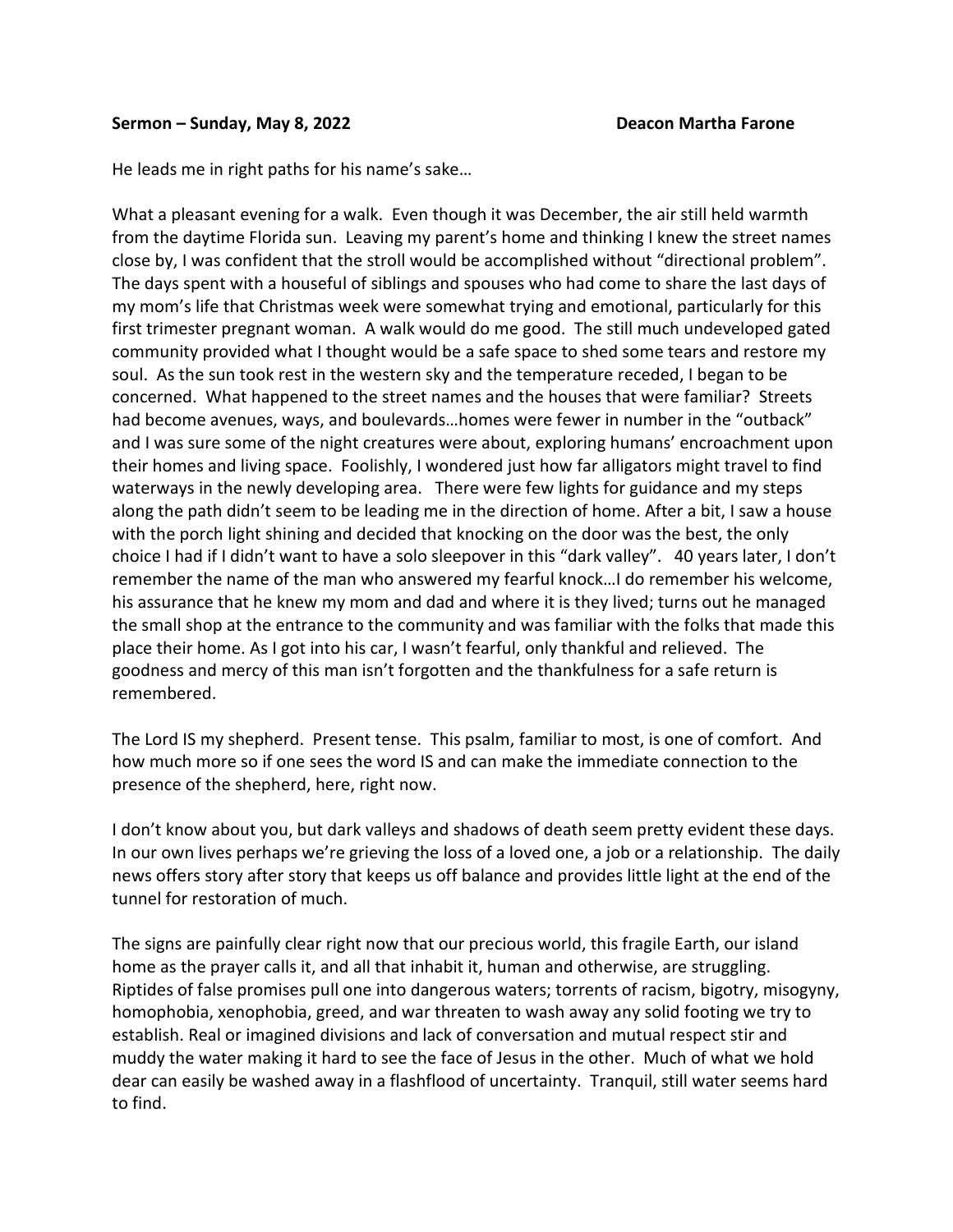## **Sermon – Sunday, May 8, 2022 Deacon Martha Farone**

He leads me in right paths for his name's sake…

What a pleasant evening for a walk. Even though it was December, the air still held warmth from the daytime Florida sun. Leaving my parent's home and thinking I knew the street names close by, I was confident that the stroll would be accomplished without "directional problem". The days spent with a houseful of siblings and spouses who had come to share the last days of my mom's life that Christmas week were somewhat trying and emotional, particularly for this first trimester pregnant woman. A walk would do me good. The still much undeveloped gated community provided what I thought would be a safe space to shed some tears and restore my soul. As the sun took rest in the western sky and the temperature receded, I began to be concerned. What happened to the street names and the houses that were familiar? Streets had become avenues, ways, and boulevards…homes were fewer in number in the "outback" and I was sure some of the night creatures were about, exploring humans' encroachment upon their homes and living space. Foolishly, I wondered just how far alligators might travel to find waterways in the newly developing area. There were few lights for guidance and my steps along the path didn't seem to be leading me in the direction of home. After a bit, I saw a house with the porch light shining and decided that knocking on the door was the best, the only choice I had if I didn't want to have a solo sleepover in this "dark valley". 40 years later, I don't remember the name of the man who answered my fearful knock…I do remember his welcome, his assurance that he knew my mom and dad and where it is they lived; turns out he managed the small shop at the entrance to the community and was familiar with the folks that made this place their home. As I got into his car, I wasn't fearful, only thankful and relieved. The goodness and mercy of this man isn't forgotten and the thankfulness for a safe return is remembered.

The Lord IS my shepherd. Present tense. This psalm, familiar to most, is one of comfort. And how much more so if one sees the word IS and can make the immediate connection to the presence of the shepherd, here, right now.

I don't know about you, but dark valleys and shadows of death seem pretty evident these days. In our own lives perhaps we're grieving the loss of a loved one, a job or a relationship. The daily news offers story after story that keeps us off balance and provides little light at the end of the tunnel for restoration of much.

The signs are painfully clear right now that our precious world, this fragile Earth, our island home as the prayer calls it, and all that inhabit it, human and otherwise, are struggling. Riptides of false promises pull one into dangerous waters; torrents of racism, bigotry, misogyny, homophobia, xenophobia, greed, and war threaten to wash away any solid footing we try to establish. Real or imagined divisions and lack of conversation and mutual respect stir and muddy the water making it hard to see the face of Jesus in the other. Much of what we hold dear can easily be washed away in a flashflood of uncertainty. Tranquil, still water seems hard to find.